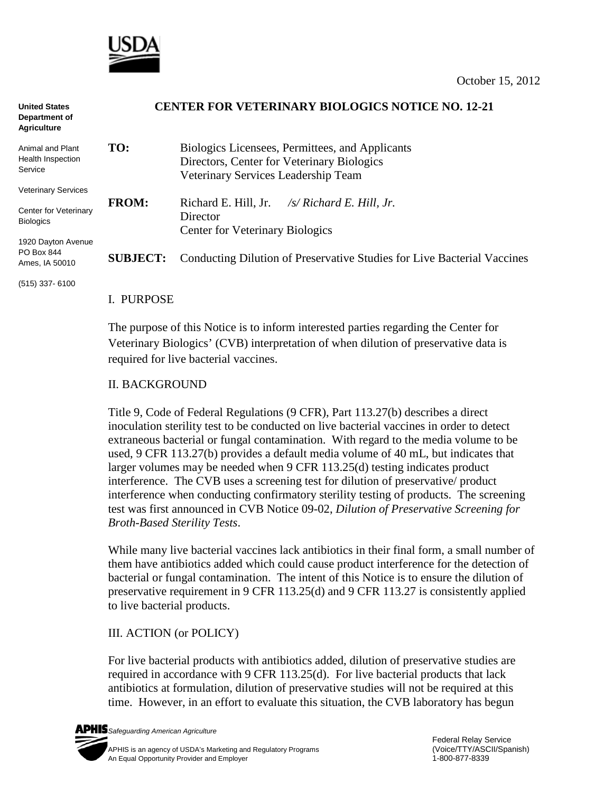

| <b>United States</b><br>Department of<br><b>Agriculture</b> |                 | <b>CENTER FOR VETERINARY BIOLOGICS NOTICE NO. 12-21</b>                 |
|-------------------------------------------------------------|-----------------|-------------------------------------------------------------------------|
| Animal and Plant<br>Health Inspection<br>Service            | TO:             | Biologics Licensees, Permittees, and Applicants                         |
|                                                             |                 | Directors, Center for Veterinary Biologics                              |
|                                                             |                 | Veterinary Services Leadership Team                                     |
| <b>Veterinary Services</b>                                  |                 |                                                                         |
|                                                             | <b>FROM:</b>    | Richard E. Hill, Jr.<br>$\sqrt{s}$ Richard E. Hill, Jr.                 |
| Center for Veterinary<br><b>Biologics</b>                   |                 | Director                                                                |
|                                                             |                 | <b>Center for Veterinary Biologics</b>                                  |
| 1920 Dayton Avenue<br>PO Box 844                            | <b>SUBJECT:</b> | Conducting Dilution of Preservative Studies for Live Bacterial Vaccines |
| Ames, IA 50010                                              |                 |                                                                         |

(515) 337- 6100

### I. PURPOSE

The purpose of this Notice is to inform interested parties regarding the Center for Veterinary Biologics' (CVB) interpretation of when dilution of preservative data is required for live bacterial vaccines.

### II. BACKGROUND

Title 9, Code of Federal Regulations (9 CFR), Part 113.27(b) describes a direct inoculation sterility test to be conducted on live bacterial vaccines in order to detect extraneous bacterial or fungal contamination. With regard to the media volume to be used, 9 CFR 113.27(b) provides a default media volume of 40 mL, but indicates that larger volumes may be needed when 9 CFR 113.25(d) testing indicates product interference. The CVB uses a screening test for dilution of preservative/ product interference when conducting confirmatory sterility testing of products. The screening test was first announced in CVB Notice 09-02, *Dilution of Preservative Screening for Broth-Based Sterility Tests*.

While many live bacterial vaccines lack antibiotics in their final form, a small number of them have antibiotics added which could cause product interference for the detection of bacterial or fungal contamination. The intent of this Notice is to ensure the dilution of preservative requirement in 9 CFR 113.25(d) and 9 CFR 113.27 is consistently applied to live bacterial products.

## III. ACTION (or POLICY)

For live bacterial products with antibiotics added, dilution of preservative studies are required in accordance with 9 CFR 113.25(d). For live bacterial products that lack antibiotics at formulation, dilution of preservative studies will not be required at this time. However, in an effort to evaluate this situation, the CVB laboratory has begun